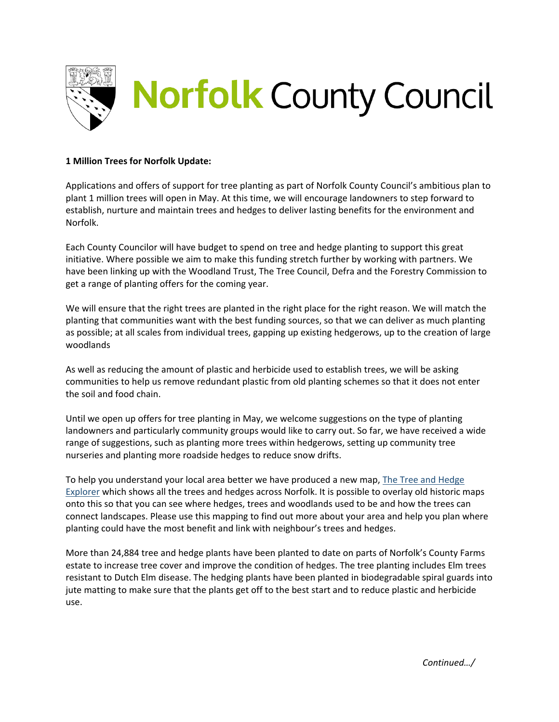

## **1 Million Trees for Norfolk Update:**

Applications and offers of support for tree planting as part of Norfolk County Council's ambitious plan to plant 1 million trees will open in May. At this time, we will encourage landowners to step forward to establish, nurture and maintain trees and hedges to deliver lasting benefits for the environment and Norfolk.

Each County Councilor will have budget to spend on tree and hedge planting to support this great initiative. Where possible we aim to make this funding stretch further by working with partners. We have been linking up with the Woodland Trust, The Tree Council, Defra and the Forestry Commission to get a range of planting offers for the coming year.

We will ensure that the right trees are planted in the right place for the right reason. We will match the planting that communities want with the best funding sources, so that we can deliver as much planting as possible; at all scales from individual trees, gapping up existing hedgerows, up to the creation of large woodlands

As well as reducing the amount of plastic and herbicide used to establish trees, we will be asking communities to help us remove redundant plastic from old planting schemes so that it does not enter the soil and food chain.

Until we open up offers for tree planting in May, we welcome suggestions on the type of planting landowners and particularly community groups would like to carry out. So far, we have received a wide range of suggestions, such as planting more trees within hedgerows, setting up community tree nurseries and planting more roadside hedges to reduce snow drifts.

To help you understand your local area better we have produced a new map, The [Tree and Hedge](https://norfolkcc.maps.arcgis.com/apps/webappviewer/index.html?id=bc454c4b70bc481fbcd7bf11adeea099) [Explorer](https://norfolkcc.maps.arcgis.com/apps/webappviewer/index.html?id=bc454c4b70bc481fbcd7bf11adeea099) which shows all the trees and hedges across Norfolk. It is possible to overlay old historic maps onto this so that you can see where hedges, trees and woodlands used to be and how the trees can connect landscapes. Please use this mapping to find out more about your area and help you plan where planting could have the most benefit and link with neighbour's trees and hedges.

More than 24,884 tree and hedge plants have been planted to date on parts of Norfolk's County Farms estate to increase tree cover and improve the condition of hedges. The tree planting includes Elm trees resistant to Dutch Elm disease. The hedging plants have been planted in biodegradable spiral guards into jute matting to make sure that the plants get off to the best start and to reduce plastic and herbicide use.

*Continued…/*